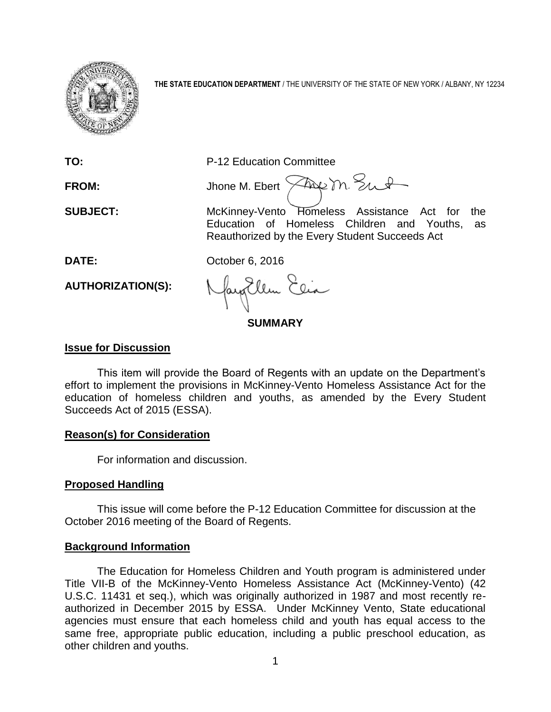

**THE STATE EDUCATION DEPARTMENT** / THE UNIVERSITY OF THE STATE OF NEW YORK / ALBANY, NY 12234

**TO:** P-12 Education Committee

FROM: Jhone M. Ebert  $\widehat{\times}$ Au m. Sut

**SUBJECT:** McKinney-Vento Homeless Assistance Act for the Education of Homeless Children and Youths, as Reauthorized by the Every Student Succeeds Act

**DATE:** October 6, 2016

**AUTHORIZATION(S):**

**SUMMARY**

# **Issue for Discussion**

This item will provide the Board of Regents with an update on the Department's effort to implement the provisions in McKinney-Vento Homeless Assistance Act for the education of homeless children and youths, as amended by the Every Student Succeeds Act of 2015 (ESSA).

## **Reason(s) for Consideration**

For information and discussion.

# **Proposed Handling**

This issue will come before the P-12 Education Committee for discussion at the October 2016 meeting of the Board of Regents.

# **Background Information**

The Education for Homeless Children and Youth program is administered under Title VII-B of the McKinney-Vento Homeless Assistance Act (McKinney-Vento) (42 U.S.C. 11431 et seq.), which was originally authorized in 1987 and most recently reauthorized in December 2015 by ESSA. Under McKinney Vento, State educational agencies must ensure that each homeless child and youth has equal access to the same free, appropriate public education, including a public preschool education, as other children and youths.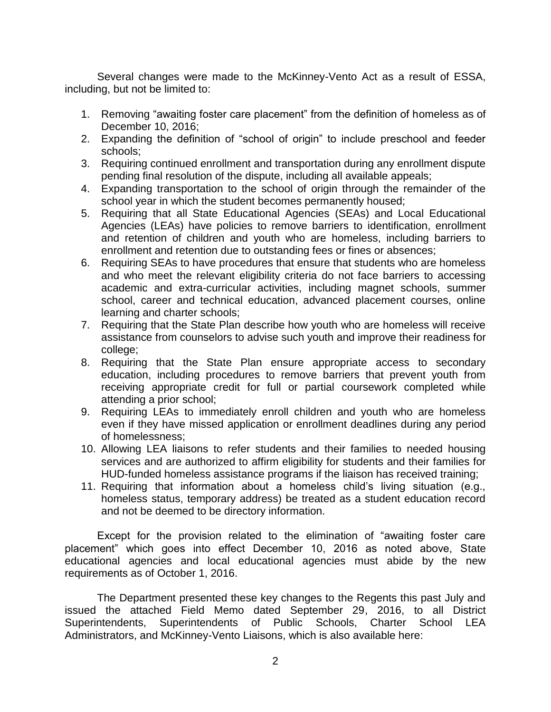Several changes were made to the McKinney-Vento Act as a result of ESSA, including, but not be limited to:

- 1. Removing "awaiting foster care placement" from the definition of homeless as of December 10, 2016;
- 2. Expanding the definition of "school of origin" to include preschool and feeder schools;
- 3. Requiring continued enrollment and transportation during any enrollment dispute pending final resolution of the dispute, including all available appeals;
- 4. Expanding transportation to the school of origin through the remainder of the school year in which the student becomes permanently housed;
- 5. Requiring that all State Educational Agencies (SEAs) and Local Educational Agencies (LEAs) have policies to remove barriers to identification, enrollment and retention of children and youth who are homeless, including barriers to enrollment and retention due to outstanding fees or fines or absences;
- 6. Requiring SEAs to have procedures that ensure that students who are homeless and who meet the relevant eligibility criteria do not face barriers to accessing academic and extra-curricular activities, including magnet schools, summer school, career and technical education, advanced placement courses, online learning and charter schools;
- 7. Requiring that the State Plan describe how youth who are homeless will receive assistance from counselors to advise such youth and improve their readiness for college;
- 8. Requiring that the State Plan ensure appropriate access to secondary education, including procedures to remove barriers that prevent youth from receiving appropriate credit for full or partial coursework completed while attending a prior school;
- 9. Requiring LEAs to immediately enroll children and youth who are homeless even if they have missed application or enrollment deadlines during any period of homelessness;
- 10. Allowing LEA liaisons to refer students and their families to needed housing services and are authorized to affirm eligibility for students and their families for HUD-funded homeless assistance programs if the liaison has received training;
- 11. Requiring that information about a homeless child's living situation (e.g., homeless status, temporary address) be treated as a student education record and not be deemed to be directory information.

Except for the provision related to the elimination of "awaiting foster care placement" which goes into effect December 10, 2016 as noted above, State educational agencies and local educational agencies must abide by the new requirements as of October 1, 2016.

The Department presented these key changes to the Regents this past July and issued the attached Field Memo dated September 29, 2016, to all District Superintendents, Superintendents of Public Schools, Charter School LEA Administrators, and McKinney-Vento Liaisons, which is also available here: